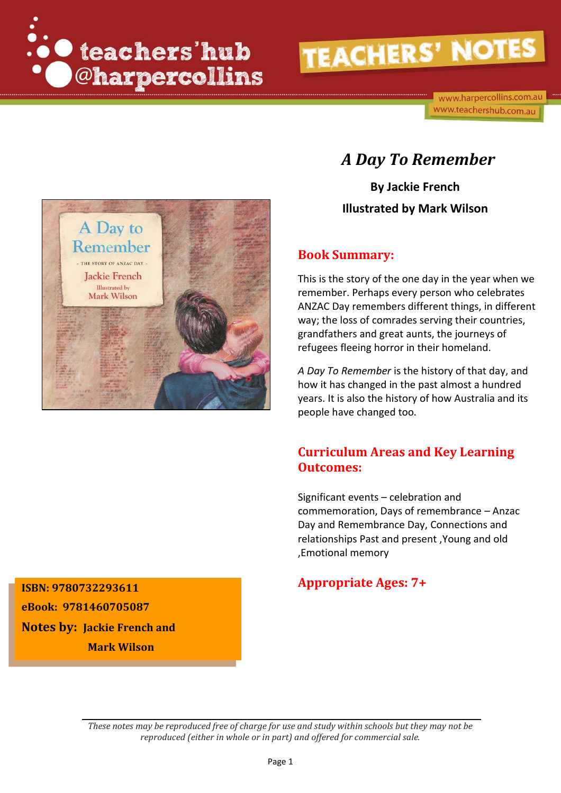

www.harpercollins.com.au www.teachershub.com.au



### *A Day To Remember*

**By Jackie French Illustrated by Mark Wilson**

#### **Book Summary:**

This is the story of the one day in the year when we remember. Perhaps every person who celebrates ANZAC Day remembers different things, in different way; the loss of comrades serving their countries, grandfathers and great aunts, the journeys of refugees fleeing horror in their homeland.

*A Day To Remember* is the history of that day, and how it has changed in the past almost a hundred years. It is also the history of how Australia and its people have changed too.

### **Curriculum Areas and Key Learning Outcomes:**

Significant events – celebration and commemoration, Days of remembrance – Anzac Day and Remembrance Day, Connections and relationships Past and present ,Young and old ,Emotional memory

### **Appropriate Ages: 7+ ISBN: <sup>9780732293611</sup>**

**eBook: 9781460705087 Notes by: Jackie French and Mark Wilson**

> *These notes may be reproduced free of charge for use and study within schools but they may not be reproduced (either in whole or in part) and offered for commercial sale.*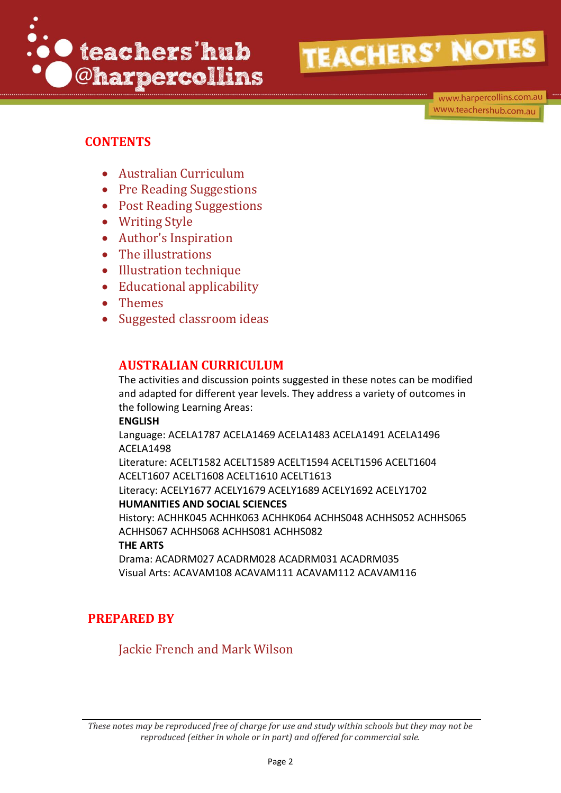

www.harpercollins.com.au www.teachershub.com.au

### **CONTENTS**

- Australian Curriculum
- Pre Reading Suggestions
- Post Reading Suggestions
- Writing Style
- Author's Inspiration
- The illustrations
- Illustration technique
- Educational applicability
- Themes
- Suggested classroom ideas

### **AUSTRALIAN CURRICULUM**

The activities and discussion points suggested in these notes can be modified and adapted for different year levels. They address a variety of outcomes in the following Learning Areas:

#### **ENGLISH**

Language: ACELA1787 ACELA1469 ACELA1483 ACELA1491 ACELA1496 ACELA1498

Literature: ACELT1582 ACELT1589 ACELT1594 ACELT1596 ACELT1604 ACELT1607 ACELT1608 ACELT1610 ACELT1613

Literacy: ACELY1677 ACELY1679 ACELY1689 ACELY1692 ACELY1702 **HUMANITIES AND SOCIAL SCIENCES** 

History: ACHHK045 ACHHK063 ACHHK064 ACHHS048 ACHHS052 ACHHS065 ACHHS067 ACHHS068 ACHHS081 ACHHS082

#### **THE ARTS**

Drama: ACADRM027 ACADRM028 ACADRM031 ACADRM035 Visual Arts: ACAVAM108 ACAVAM111 ACAVAM112 ACAVAM116

### **PREPARED BY**

Jackie French and Mark Wilson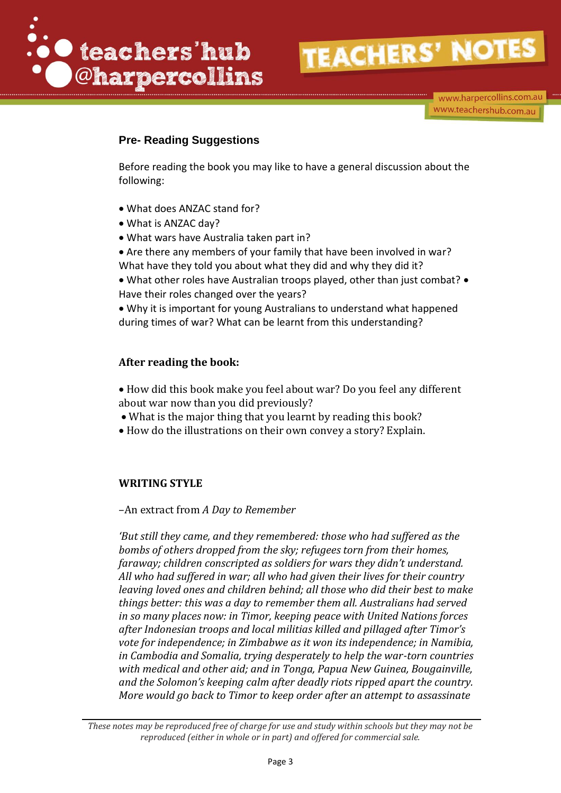

www.harpercollins.com.au www.teachershub.com.au

### **Pre- Reading Suggestions**

Before reading the book you may like to have a general discussion about the following:

- What does ANZAC stand for?
- What is ANZAC day?
- What wars have Australia taken part in?

 Are there any members of your family that have been involved in war? What have they told you about what they did and why they did it?

• What other roles have Australian troops played, other than just combat? • Have their roles changed over the years?

 Why it is important for young Australians to understand what happened during times of war? What can be learnt from this understanding?

#### **After reading the book:**

 How did this book make you feel about war? Do you feel any different about war now than you did previously?

- What is the major thing that you learnt by reading this book?
- How do the illustrations on their own convey a story? Explain.

#### **WRITING STYLE**

–An extract from *A Day to Remember*

*'But still they came, and they remembered: those who had suffered as the bombs of others dropped from the sky; refugees torn from their homes, faraway; children conscripted as soldiers for wars they didn't understand. All who had suffered in war; all who had given their lives for their country leaving loved ones and children behind; all those who did their best to make things better: this was a day to remember them all. Australians had served in so many places now: in Timor, keeping peace with United Nations forces after Indonesian troops and local militias killed and pillaged after Timor's vote for independence; in Zimbabwe as it won its independence; in Namibia, in Cambodia and Somalia, trying desperately to help the war-torn countries with medical and other aid; and in Tonga, Papua New Guinea, Bougainville, and the Solomon's keeping calm after deadly riots ripped apart the country. More would go back to Timor to keep order after an attempt to assassinate*

*These notes may be reproduced free of charge for use and study within schools but they may not be reproduced (either in whole or in part) and offered for commercial sale.*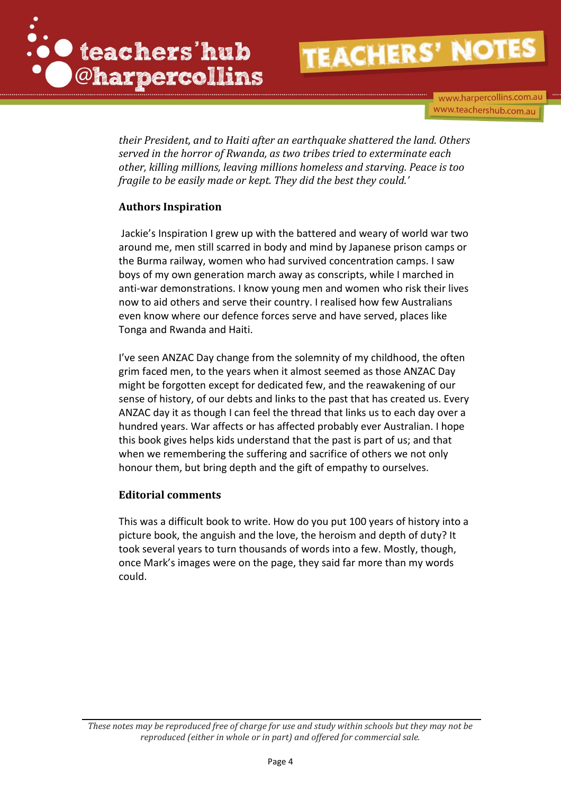

www.harpercollins.com.au www.teachershub.com.au

*their President, and to Haiti after an earthquake shattered the land. Others served in the horror of Rwanda, as two tribes tried to exterminate each other, killing millions, leaving millions homeless and starving. Peace is too fragile to be easily made or kept. They did the best they could.'*

#### **Authors Inspiration**

Jackie's Inspiration I grew up with the battered and weary of world war two around me, men still scarred in body and mind by Japanese prison camps or the Burma railway, women who had survived concentration camps. I saw boys of my own generation march away as conscripts, while I marched in anti-war demonstrations. I know young men and women who risk their lives now to aid others and serve their country. I realised how few Australians even know where our defence forces serve and have served, places like Tonga and Rwanda and Haiti.

I've seen ANZAC Day change from the solemnity of my childhood, the often grim faced men, to the years when it almost seemed as those ANZAC Day might be forgotten except for dedicated few, and the reawakening of our sense of history, of our debts and links to the past that has created us. Every ANZAC day it as though I can feel the thread that links us to each day over a hundred years. War affects or has affected probably ever Australian. I hope this book gives helps kids understand that the past is part of us; and that when we remembering the suffering and sacrifice of others we not only honour them, but bring depth and the gift of empathy to ourselves.

#### **Editorial comments**

This was a difficult book to write. How do you put 100 years of history into a picture book, the anguish and the love, the heroism and depth of duty? It took several years to turn thousands of words into a few. Mostly, though, once Mark's images were on the page, they said far more than my words could.

*These notes may be reproduced free of charge for use and study within schools but they may not be reproduced (either in whole or in part) and offered for commercial sale.*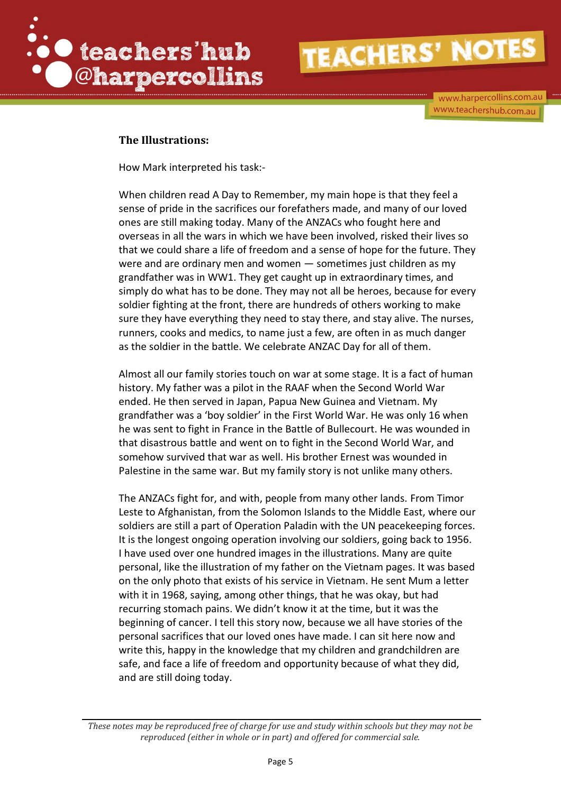

www.harpercollins.com.au www.teachershub.com.au

#### **The Illustrations:**

How Mark interpreted his task:-

When children read A Day to Remember, my main hope is that they feel a sense of pride in the sacrifices our forefathers made, and many of our loved ones are still making today. Many of the ANZACs who fought here and overseas in all the wars in which we have been involved, risked their lives so that we could share a life of freedom and a sense of hope for the future. They were and are ordinary men and women — sometimes just children as my grandfather was in WW1. They get caught up in extraordinary times, and simply do what has to be done. They may not all be heroes, because for every soldier fighting at the front, there are hundreds of others working to make sure they have everything they need to stay there, and stay alive. The nurses, runners, cooks and medics, to name just a few, are often in as much danger as the soldier in the battle. We celebrate ANZAC Day for all of them.

Almost all our family stories touch on war at some stage. It is a fact of human history. My father was a pilot in the RAAF when the Second World War ended. He then served in Japan, Papua New Guinea and Vietnam. My grandfather was a 'boy soldier' in the First World War. He was only 16 when he was sent to fight in France in the Battle of Bullecourt. He was wounded in that disastrous battle and went on to fight in the Second World War, and somehow survived that war as well. His brother Ernest was wounded in Palestine in the same war. But my family story is not unlike many others.

The ANZACs fight for, and with, people from many other lands. From Timor Leste to Afghanistan, from the Solomon Islands to the Middle East, where our soldiers are still a part of Operation Paladin with the UN peacekeeping forces. It is the longest ongoing operation involving our soldiers, going back to 1956. I have used over one hundred images in the illustrations. Many are quite personal, like the illustration of my father on the Vietnam pages. It was based on the only photo that exists of his service in Vietnam. He sent Mum a letter with it in 1968, saying, among other things, that he was okay, but had recurring stomach pains. We didn't know it at the time, but it was the beginning of cancer. I tell this story now, because we all have stories of the personal sacrifices that our loved ones have made. I can sit here now and write this, happy in the knowledge that my children and grandchildren are safe, and face a life of freedom and opportunity because of what they did, and are still doing today.

*These notes may be reproduced free of charge for use and study within schools but they may not be reproduced (either in whole or in part) and offered for commercial sale.*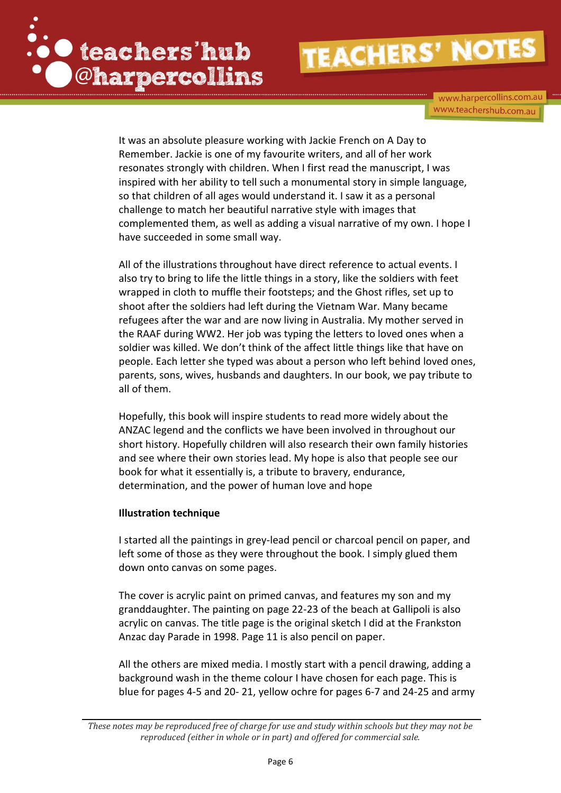

www.harpercollins.com.au www.teachershub.com.au

It was an absolute pleasure working with Jackie French on A Day to Remember. Jackie is one of my favourite writers, and all of her work resonates strongly with children. When I first read the manuscript, I was inspired with her ability to tell such a monumental story in simple language, so that children of all ages would understand it. I saw it as a personal challenge to match her beautiful narrative style with images that complemented them, as well as adding a visual narrative of my own. I hope I have succeeded in some small way.

All of the illustrations throughout have direct reference to actual events. I also try to bring to life the little things in a story, like the soldiers with feet wrapped in cloth to muffle their footsteps; and the Ghost rifles, set up to shoot after the soldiers had left during the Vietnam War. Many became refugees after the war and are now living in Australia. My mother served in the RAAF during WW2. Her job was typing the letters to loved ones when a soldier was killed. We don't think of the affect little things like that have on people. Each letter she typed was about a person who left behind loved ones, parents, sons, wives, husbands and daughters. In our book, we pay tribute to all of them.

Hopefully, this book will inspire students to read more widely about the ANZAC legend and the conflicts we have been involved in throughout our short history. Hopefully children will also research their own family histories and see where their own stories lead. My hope is also that people see our book for what it essentially is, a tribute to bravery, endurance, determination, and the power of human love and hope

#### **Illustration technique**

I started all the paintings in grey-lead pencil or charcoal pencil on paper, and left some of those as they were throughout the book. I simply glued them down onto canvas on some pages.

The cover is acrylic paint on primed canvas, and features my son and my granddaughter. The painting on page 22-23 of the beach at Gallipoli is also acrylic on canvas. The title page is the original sketch I did at the Frankston Anzac day Parade in 1998. Page 11 is also pencil on paper.

All the others are mixed media. I mostly start with a pencil drawing, adding a background wash in the theme colour I have chosen for each page. This is blue for pages 4-5 and 20- 21, yellow ochre for pages 6-7 and 24-25 and army

*These notes may be reproduced free of charge for use and study within schools but they may not be reproduced (either in whole or in part) and offered for commercial sale.*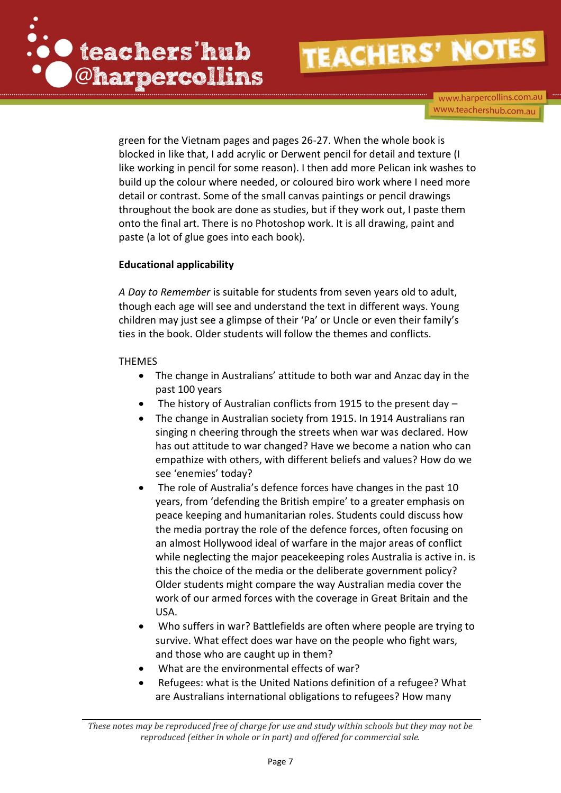

www.harpercollins.com.au www.teachershub.com.au

green for the Vietnam pages and pages 26-27. When the whole book is blocked in like that, I add acrylic or Derwent pencil for detail and texture (I like working in pencil for some reason). I then add more Pelican ink washes to build up the colour where needed, or coloured biro work where I need more detail or contrast. Some of the small canvas paintings or pencil drawings throughout the book are done as studies, but if they work out, I paste them onto the final art. There is no Photoshop work. It is all drawing, paint and paste (a lot of glue goes into each book).

#### **Educational applicability**

*A Day to Remember* is suitable for students from seven years old to adult, though each age will see and understand the text in different ways. Young children may just see a glimpse of their 'Pa' or Uncle or even their family's ties in the book. Older students will follow the themes and conflicts.

#### THEMES

- The change in Australians' attitude to both war and Anzac day in the past 100 years
- The history of Australian conflicts from 1915 to the present day –
- The change in Australian society from 1915. In 1914 Australians ran singing n cheering through the streets when war was declared. How has out attitude to war changed? Have we become a nation who can empathize with others, with different beliefs and values? How do we see 'enemies' today?
- The role of Australia's defence forces have changes in the past 10 years, from 'defending the British empire' to a greater emphasis on peace keeping and humanitarian roles. Students could discuss how the media portray the role of the defence forces, often focusing on an almost Hollywood ideal of warfare in the major areas of conflict while neglecting the major peacekeeping roles Australia is active in. is this the choice of the media or the deliberate government policy? Older students might compare the way Australian media cover the work of our armed forces with the coverage in Great Britain and the USA.
- Who suffers in war? Battlefields are often where people are trying to survive. What effect does war have on the people who fight wars, and those who are caught up in them?
- What are the environmental effects of war?
- Refugees: what is the United Nations definition of a refugee? What are Australians international obligations to refugees? How many

*These notes may be reproduced free of charge for use and study within schools but they may not be reproduced (either in whole or in part) and offered for commercial sale.*